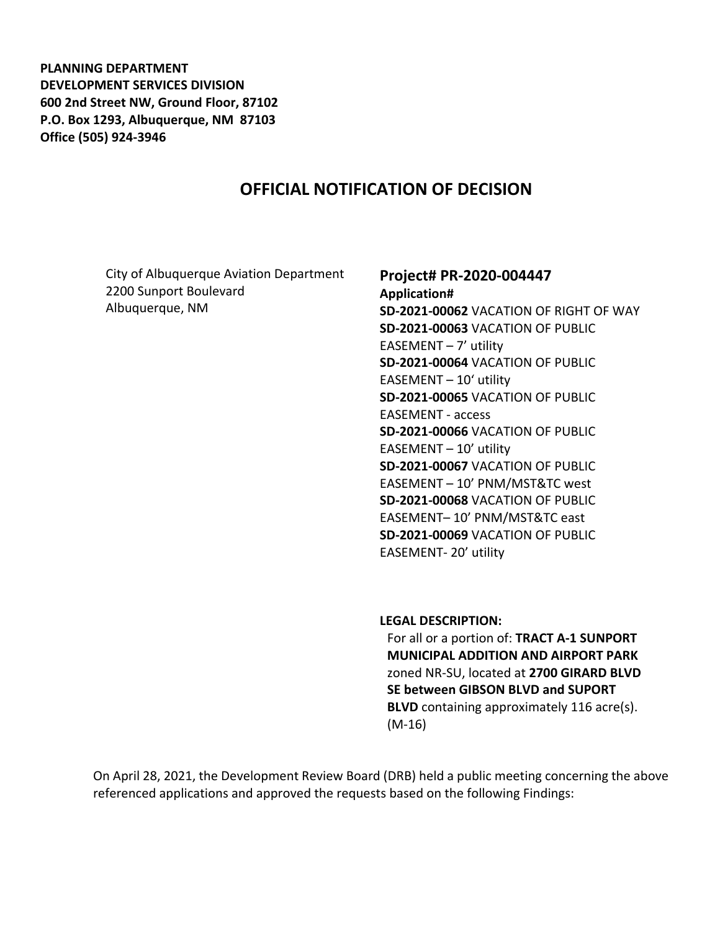**PLANNING DEPARTMENT DEVELOPMENT SERVICES DIVISION 600 2nd Street NW, Ground Floor, 87102 P.O. Box 1293, Albuquerque, NM 87103 Office (505) 924-3946** 

# **OFFICIAL NOTIFICATION OF DECISION**

City of Albuquerque Aviation Department 2200 Sunport Boulevard Albuquerque, NM

#### **Project# PR-2020-004447**

**Application# SD-2021-00062** VACATION OF RIGHT OF WAY **SD-2021-00063** VACATION OF PUBLIC EASEMENT  $-7'$  utility **SD-2021-00064** VACATION OF PUBLIC EASEMENT – 10' utility **SD-2021-00065** VACATION OF PUBLIC EASEMENT - access **SD-2021-00066** VACATION OF PUBLIC EASEMENT – 10' utility **SD-2021-00067** VACATION OF PUBLIC EASEMENT – 10' PNM/MST&TC west **SD-2021-00068** VACATION OF PUBLIC EASEMENT– 10' PNM/MST&TC east **SD-2021-00069** VACATION OF PUBLIC EASEMENT- 20' utility

**LEGAL DESCRIPTION:**

For all or a portion of: **TRACT A-1 SUNPORT MUNICIPAL ADDITION AND AIRPORT PARK** zoned NR-SU, located at **2700 GIRARD BLVD SE between GIBSON BLVD and SUPORT BLVD** containing approximately 116 acre(s). (M-16)

On April 28, 2021, the Development Review Board (DRB) held a public meeting concerning the above referenced applications and approved the requests based on the following Findings: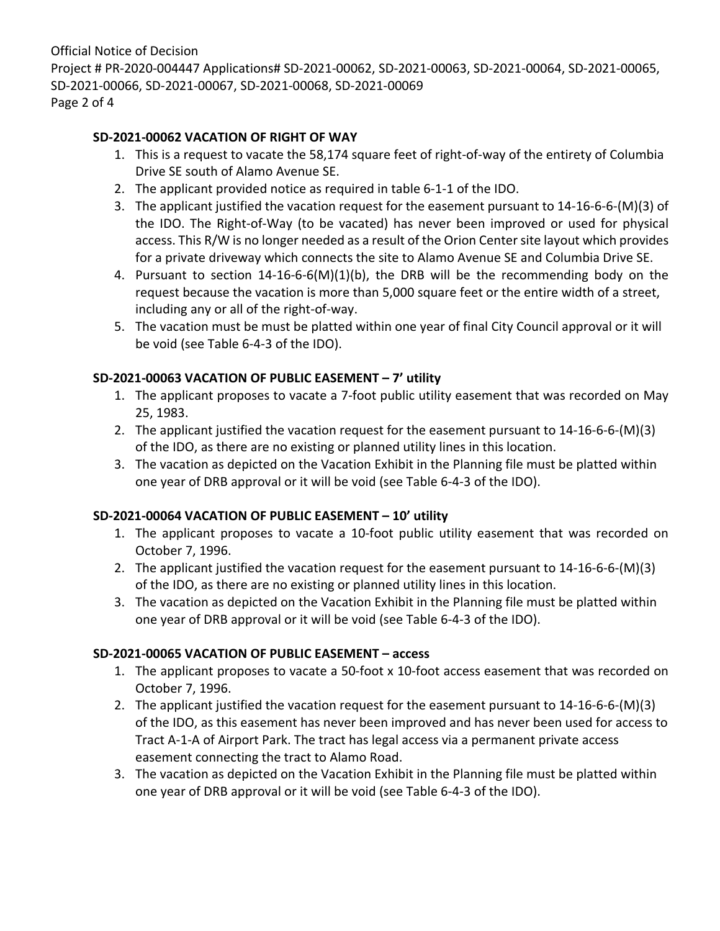Official Notice of Decision Project # PR-2020-004447 Applications# SD-2021-00062, SD-2021-00063, SD-2021-00064, SD-2021-00065, SD-2021-00066, SD-2021-00067, SD-2021-00068, SD-2021-00069 Page 2 of 4

## **SD-2021-00062 VACATION OF RIGHT OF WAY**

- 1. This is a request to vacate the 58,174 square feet of right-of-way of the entirety of Columbia Drive SE south of Alamo Avenue SE.
- 2. The applicant provided notice as required in table 6-1-1 of the IDO.
- 3. The applicant justified the vacation request for the easement pursuant to 14-16-6-6-(M)(3) of the IDO. The Right-of-Way (to be vacated) has never been improved or used for physical access. This R/W is no longer needed as a result of the Orion Center site layout which provides for a private driveway which connects the site to Alamo Avenue SE and Columbia Drive SE.
- 4. Pursuant to section 14-16-6-6(M)(1)(b), the DRB will be the recommending body on the request because the vacation is more than 5,000 square feet or the entire width of a street, including any or all of the right-of-way.
- 5. The vacation must be must be platted within one year of final City Council approval or it will be void (see Table 6-4-3 of the IDO).

## **SD-2021-00063 VACATION OF PUBLIC EASEMENT – 7' utility**

- 1. The applicant proposes to vacate a 7-foot public utility easement that was recorded on May 25, 1983.
- 2. The applicant justified the vacation request for the easement pursuant to 14-16-6-6-(M)(3) of the IDO, as there are no existing or planned utility lines in this location.
- 3. The vacation as depicted on the Vacation Exhibit in the Planning file must be platted within one year of DRB approval or it will be void (see Table 6-4-3 of the IDO).

## **SD-2021-00064 VACATION OF PUBLIC EASEMENT – 10' utility**

- 1. The applicant proposes to vacate a 10-foot public utility easement that was recorded on October 7, 1996.
- 2. The applicant justified the vacation request for the easement pursuant to 14-16-6-6-(M)(3) of the IDO, as there are no existing or planned utility lines in this location.
- 3. The vacation as depicted on the Vacation Exhibit in the Planning file must be platted within one year of DRB approval or it will be void (see Table 6-4-3 of the IDO).

### **SD-2021-00065 VACATION OF PUBLIC EASEMENT – access**

- 1. The applicant proposes to vacate a 50-foot x 10-foot access easement that was recorded on October 7, 1996.
- 2. The applicant justified the vacation request for the easement pursuant to 14-16-6-6-(M)(3) of the IDO, as this easement has never been improved and has never been used for access to Tract A-1-A of Airport Park. The tract has legal access via a permanent private access easement connecting the tract to Alamo Road.
- 3. The vacation as depicted on the Vacation Exhibit in the Planning file must be platted within one year of DRB approval or it will be void (see Table 6-4-3 of the IDO).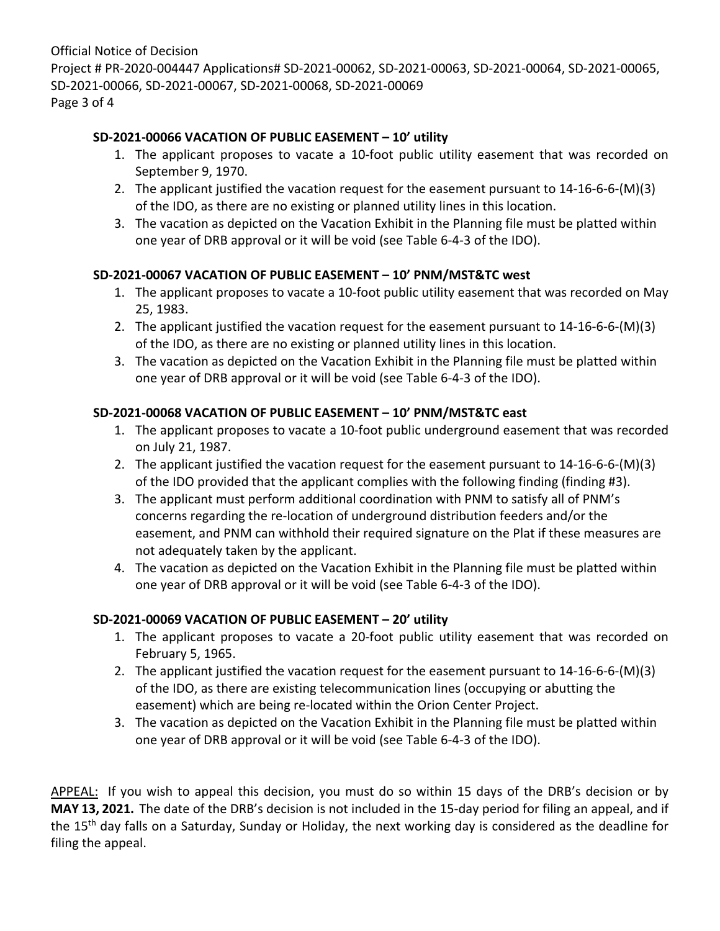Official Notice of Decision Project # PR-2020-004447 Applications# SD-2021-00062, SD-2021-00063, SD-2021-00064, SD-2021-00065, SD-2021-00066, SD-2021-00067, SD-2021-00068, SD-2021-00069 Page 3 of 4

## **SD-2021-00066 VACATION OF PUBLIC EASEMENT – 10' utility**

- 1. The applicant proposes to vacate a 10-foot public utility easement that was recorded on September 9, 1970.
- 2. The applicant justified the vacation request for the easement pursuant to 14-16-6-6-(M)(3) of the IDO, as there are no existing or planned utility lines in this location.
- 3. The vacation as depicted on the Vacation Exhibit in the Planning file must be platted within one year of DRB approval or it will be void (see Table 6-4-3 of the IDO).

## **SD-2021-00067 VACATION OF PUBLIC EASEMENT – 10' PNM/MST&TC west**

- 1. The applicant proposes to vacate a 10-foot public utility easement that was recorded on May 25, 1983.
- 2. The applicant justified the vacation request for the easement pursuant to 14-16-6-6-(M)(3) of the IDO, as there are no existing or planned utility lines in this location.
- 3. The vacation as depicted on the Vacation Exhibit in the Planning file must be platted within one year of DRB approval or it will be void (see Table 6-4-3 of the IDO).

## **SD-2021-00068 VACATION OF PUBLIC EASEMENT – 10' PNM/MST&TC east**

- 1. The applicant proposes to vacate a 10-foot public underground easement that was recorded on July 21, 1987.
- 2. The applicant justified the vacation request for the easement pursuant to 14-16-6-6-(M)(3) of the IDO provided that the applicant complies with the following finding (finding #3).
- 3. The applicant must perform additional coordination with PNM to satisfy all of PNM's concerns regarding the re-location of underground distribution feeders and/or the easement, and PNM can withhold their required signature on the Plat if these measures are not adequately taken by the applicant.
- 4. The vacation as depicted on the Vacation Exhibit in the Planning file must be platted within one year of DRB approval or it will be void (see Table 6-4-3 of the IDO).

## **SD-2021-00069 VACATION OF PUBLIC EASEMENT – 20' utility**

- 1. The applicant proposes to vacate a 20-foot public utility easement that was recorded on February 5, 1965.
- 2. The applicant justified the vacation request for the easement pursuant to 14-16-6-6-(M)(3) of the IDO, as there are existing telecommunication lines (occupying or abutting the easement) which are being re-located within the Orion Center Project.
- 3. The vacation as depicted on the Vacation Exhibit in the Planning file must be platted within one year of DRB approval or it will be void (see Table 6-4-3 of the IDO).

APPEAL: If you wish to appeal this decision, you must do so within 15 days of the DRB's decision or by **MAY 13, 2021.** The date of the DRB's decision is not included in the 15-day period for filing an appeal, and if the 15<sup>th</sup> day falls on a Saturday, Sunday or Holiday, the next working day is considered as the deadline for filing the appeal.